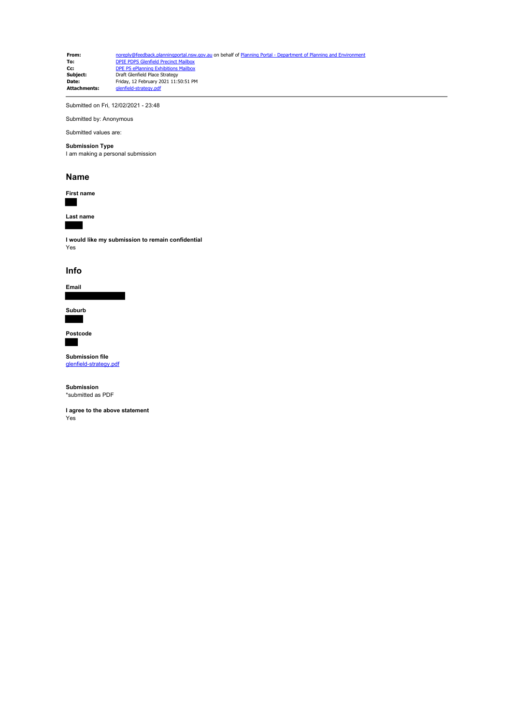**From:** [noreply@feedback.planningportal.nsw.gov.au](mailto:noreply@feedback.planningportal.nsw.gov.au) on behalf of Planning Portal - Department of Planning and Environ<br> **To:** DPIE PDPS Glenfield Precinct Mailbox **To:** [DPIE PDPS Glenfield Precinct Mailbox](mailto:glenfield.precinct@planning.nsw.gov.au)<br>**Cc:** [DPE PS ePlanning Exhibitions Mailbox](mailto:eplanning.exhibitions@planning.nsw.gov.au) **Subject:** Draft Glenfield Place Strategy **Date:** Friday, 12 February 2021 11:50:51 PM **Attachments:** glenfield-strategy.pdf

Submitted on Fri, 12/02/2021 - 23:48

Submitted by: Anonymous Submitted values are:

## **Submission Type**

I am making a personal submission

## **Name**

**First name**

**Last name**

**I would like my submission to remain confidential** Yes

## **Info**

**Email**

**Suburb**

**Postcode**

**Submission file** [glenfield-strategy.pdf](https://pp.planningportal.nsw.gov.au/system/files/webform/draft_plans_glenfield/118931/glenfield-strategy.pdf)

**Submission** \*submitted as PDF

**I agree to the above statement** Yes